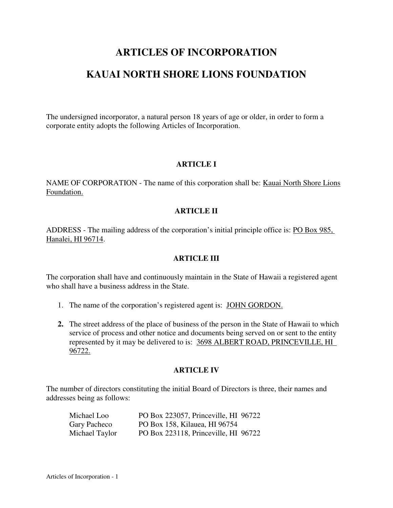# **ARTICLES OF INCORPORATION**

# **KAUAI NORTH SHORE LIONS FOUNDATION**

The undersigned incorporator, a natural person 18 years of age or older, in order to form a corporate entity adopts the following Articles of Incorporation.

# **ARTICLE I**

NAME OF CORPORATION - The name of this corporation shall be: Kauai North Shore Lions Foundation.

## **ARTICLE II**

ADDRESS - The mailing address of the corporation's initial principle office is: PO Box 985, Hanalei, HI 96714.

#### **ARTICLE III**

The corporation shall have and continuously maintain in the State of Hawaii a registered agent who shall have a business address in the State.

- 1. The name of the corporation's registered agent is: JOHN GORDON.
- **2.** The street address of the place of business of the person in the State of Hawaii to which service of process and other notice and documents being served on or sent to the entity represented by it may be delivered to is: 3698 ALBERT ROAD, PRINCEVILLE, HI 96722.

#### **ARTICLE IV**

The number of directors constituting the initial Board of Directors is three, their names and addresses being as follows:

| Michael Loo    | PO Box 223057, Princeville, HI 96722 |
|----------------|--------------------------------------|
| Gary Pacheco   | PO Box 158, Kilauea, HI 96754        |
| Michael Taylor | PO Box 223118, Princeville, HI 96722 |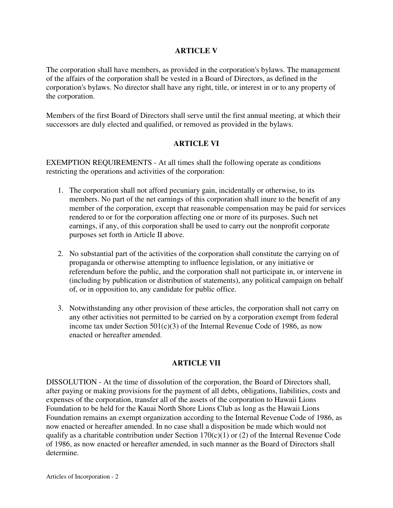## **ARTICLE V**

The corporation shall have members, as provided in the corporation's bylaws. The management of the affairs of the corporation shall be vested in a Board of Directors, as defined in the corporation's bylaws. No director shall have any right, title, or interest in or to any property of the corporation.

Members of the first Board of Directors shall serve until the first annual meeting, at which their successors are duly elected and qualified, or removed as provided in the bylaws.

## **ARTICLE VI**

EXEMPTION REQUIREMENTS - At all times shall the following operate as conditions restricting the operations and activities of the corporation:

- 1. The corporation shall not afford pecuniary gain, incidentally or otherwise, to its members. No part of the net earnings of this corporation shall inure to the benefit of any member of the corporation, except that reasonable compensation may be paid for services rendered to or for the corporation affecting one or more of its purposes. Such net earnings, if any, of this corporation shall be used to carry out the nonprofit corporate purposes set forth in Article II above.
- 2. No substantial part of the activities of the corporation shall constitute the carrying on of propaganda or otherwise attempting to influence legislation, or any initiative or referendum before the public, and the corporation shall not participate in, or intervene in (including by publication or distribution of statements), any political campaign on behalf of, or in opposition to, any candidate for public office.
- 3. Notwithstanding any other provision of these articles, the corporation shall not carry on any other activities not permitted to be carried on by a corporation exempt from federal income tax under Section  $501(c)(3)$  of the Internal Revenue Code of 1986, as now enacted or hereafter amended.

## **ARTICLE VII**

DISSOLUTION - At the time of dissolution of the corporation, the Board of Directors shall, after paying or making provisions for the payment of all debts, obligations, liabilities, costs and expenses of the corporation, transfer all of the assets of the corporation to Hawaii Lions Foundation to be held for the Kauai North Shore Lions Club as long as the Hawaii Lions Foundation remains an exempt organization according to the Internal Revenue Code of 1986, as now enacted or hereafter amended. In no case shall a disposition be made which would not qualify as a charitable contribution under Section  $170(c)(1)$  or (2) of the Internal Revenue Code of 1986, as now enacted or hereafter amended, in such manner as the Board of Directors shall determine.